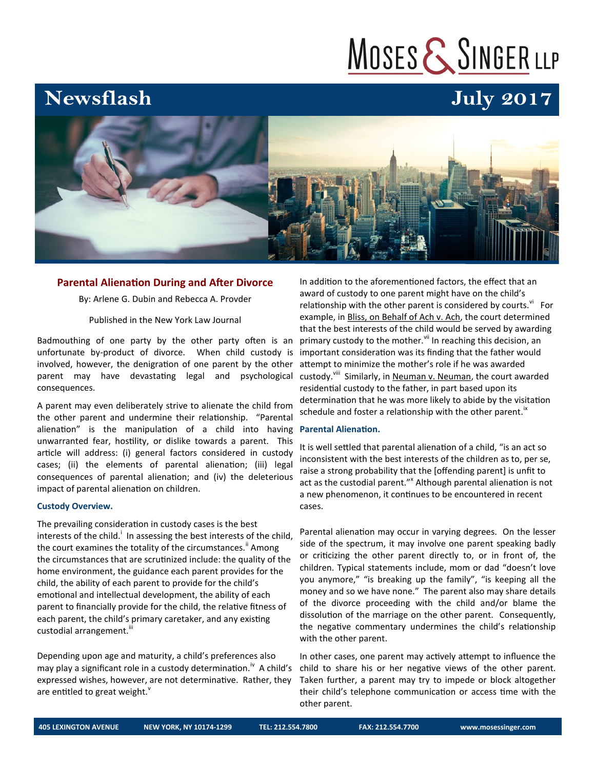# MOSES & SINGER LLP

### **Newsflash**

## **July 2017**



#### **Parental Alienation During and After Divorce**

By: Arlene G. Dubin and Rebecca A. Provder

#### Published in the New York Law Journal

Badmouthing of one party by the other party often is an unfortunate by-product of divorce. When child custody is involved, however, the denigration of one parent by the other parent may have devastating legal and psychological consequences.

A parent may even deliberately strive to alienate the child from the other parent and undermine their relationship. "Parental alienation" is the manipulation of a child into having unwarranted fear, hostility, or dislike towards a parent. This article will address: (i) general factors considered in custody cases; (ii) the elements of parental alienation; (iii) legal consequences of parental alienation; and (iv) the deleterious impact of parental alienation on children.

#### **Custody Overview.**

The prevailing consideration in custody cases is the best interests of the child.<sup>1</sup> In assessing the best interests of the child, the court examines the totality of the circumstances.<sup>"</sup> Among the circumstances that are scrutinized include: the quality of the home environment, the guidance each parent provides for the child, the ability of each parent to provide for the child's emotional and intellectual development, the ability of each parent to financially provide for the child, the relative fitness of each parent, the child's primary caretaker, and any existing custodial arrangement.<sup>iii</sup>

Depending upon age and maturity, a child's preferences also may play a significant role in a custody determination.<sup>iv</sup> A child's expressed wishes, however, are not determinative. Rather, they are entitled to great weight. $v$ 

In addition to the aforementioned factors, the effect that an award of custody to one parent might have on the child's relationship with the other parent is considered by courts.<sup>vi</sup> For example, in Bliss, on Behalf of Ach v. Ach, the court determined that the best interests of the child would be served by awarding primary custody to the mother.<sup>Vii</sup> In reaching this decision, an important consideration was its finding that the father would attempt to minimize the mother's role if he was awarded custody.<sup>viii</sup> Similarly, in Neuman v. Neuman, the court awarded residential custody to the father, in part based upon its determination that he was more likely to abide by the visitation schedule and foster a relationship with the other parent. $\mathbb{I}^{\mathsf{X}}$ 

#### **Parental Alienation.**

It is well settled that parental alienation of a child, "is an act so inconsistent with the best interests of the children as to, per se, raise a strong probability that the [offending parent] is unfit to act as the custodial parent."<sup>x</sup> Although parental alienation is not a new phenomenon, it continues to be encountered in recent cases.

Parental alienation may occur in varying degrees. On the lesser side of the spectrum, it may involve one parent speaking badly or criticizing the other parent directly to, or in front of, the children. Typical statements include, mom or dad "doesn't love you anymore," "is breaking up the family", "is keeping all the money and so we have none." The parent also may share details of the divorce proceeding with the child and/or blame the dissolution of the marriage on the other parent. Consequently, the negative commentary undermines the child's relationship with the other parent.

In other cases, one parent may actively attempt to influence the child to share his or her negative views of the other parent. Taken further, a parent may try to impede or block altogether their child's telephone communication or access time with the other parent.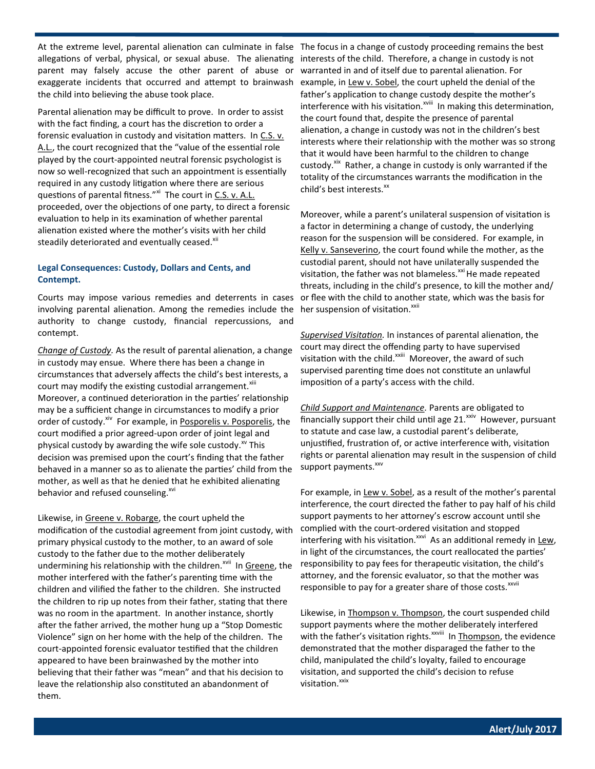At the extreme level, parental alienation can culminate in false The focus in a change of custody proceeding remains the best allegations of verbal, physical, or sexual abuse. The alienating parent may falsely accuse the other parent of abuse or exaggerate incidents that occurred and attempt to brainwash the child into believing the abuse took place.

Parental alienation may be difficult to prove. In order to assist with the fact finding, a court has the discretion to order a forensic evaluation in custody and visitation matters. In C.S. v. A.L., the court recognized that the "value of the essential role played by the court-appointed neutral forensic psychologist is now so well-recognized that such an appointment is essentially required in any custody litigation where there are serious questions of parental fitness."<sup>xi</sup> The court in C.S. v. A.L. proceeded, over the objections of one party, to direct a forensic evaluation to help in its examination of whether parental alienation existed where the mother's visits with her child steadily deteriorated and eventually ceased.<sup>xii</sup>

#### **Legal Consequences: Custody, Dollars and Cents, and Contempt.**

Courts may impose various remedies and deterrents in cases involving parental alienation. Among the remedies include the authority to change custody, financial repercussions, and contempt.

*Change of Custody.* As the result of parental alienation, a change in custody may ensue. Where there has been a change in circumstances that adversely affects the child's best interests, a court may modify the existing custodial arrangement.<sup>xiii</sup> Moreover, a continued deterioration in the parties' relationship may be a sufficient change in circumstances to modify a prior order of custody.<sup>xiv</sup> For example, in Posporelis v. Posporelis, the court modified a prior agreed-upon order of joint legal and physical custody by awarding the wife sole custody. $\frac{x}{x}$  This decision was premised upon the court's finding that the father behaved in a manner so as to alienate the parties' child from the mother, as well as that he denied that he exhibited alienating behavior and refused counseling.<sup>xvi</sup>

Likewise, in Greene v. Robarge, the court upheld the modification of the custodial agreement from joint custody, with primary physical custody to the mother, to an award of sole custody to the father due to the mother deliberately undermining his relationship with the children.<sup>xvii</sup> In Greene, the mother interfered with the father's parenting time with the children and vilified the father to the children. She instructed the children to rip up notes from their father, stating that there was no room in the apartment. In another instance, shortly after the father arrived, the mother hung up a "Stop Domestic Violence" sign on her home with the help of the children. The court-appointed forensic evaluator testified that the children appeared to have been brainwashed by the mother into believing that their father was "mean" and that his decision to leave the relationship also constituted an abandonment of them.

interests of the child. Therefore, a change in custody is not warranted in and of itself due to parental alienation. For example, in Lew v. Sobel, the court upheld the denial of the father's application to change custody despite the mother's interference with his visitation.<sup>xviii</sup> In making this determination, the court found that, despite the presence of parental alienation, a change in custody was not in the children's best interests where their relationship with the mother was so strong that it would have been harmful to the children to change custody.<sup>xix</sup> Rather, a change in custody is only warranted if the totality of the circumstances warrants the modification in the child's best interests.<sup>xx</sup>

Moreover, while a parent's unilateral suspension of visitation is a factor in determining a change of custody, the underlying reason for the suspension will be considered. For example, in Kelly v. Sanseverino, the court found while the mother, as the custodial parent, should not have unilaterally suspended the visitation, the father was not blameless. $^{xxi}$  He made repeated threats, including in the child's presence, to kill the mother and/ or flee with the child to another state, which was the basis for her suspension of visitation.<sup>xxii</sup>

*Supervised Visitation.* In instances of parental alienation, the court may direct the offending party to have supervised visitation with the child.<sup>xxiii</sup> Moreover, the award of such supervised parenting time does not constitute an unlawful imposition of a party's access with the child.

*Child Support and Maintenance.* Parents are obligated to financially support their child until age  $21.^{\text{xiv}}$  However, pursuant to statute and case law, a custodial parent's deliberate, unjustified, frustration of, or active interference with, visitation rights or parental alienation may result in the suspension of child support payments.<sup>xxv</sup>

For example, in Lew v. Sobel, as a result of the mother's parental interference, the court directed the father to pay half of his child support payments to her attorney's escrow account until she complied with the court-ordered visitation and stopped interfering with his visitation.<sup>xxvi</sup> As an additional remedy in Lew, in light of the circumstances, the court reallocated the parties' responsibility to pay fees for therapeutic visitation, the child's attorney, and the forensic evaluator, so that the mother was responsible to pay for a greater share of those costs.<sup>xxvii</sup>

Likewise, in Thompson v. Thompson, the court suspended child support payments where the mother deliberately interfered with the father's visitation rights.<sup>xxviii</sup> In Thompson, the evidence demonstrated that the mother disparaged the father to the child, manipulated the child's loyalty, failed to encourage visitation, and supported the child's decision to refuse visitation.<sup>xxix</sup>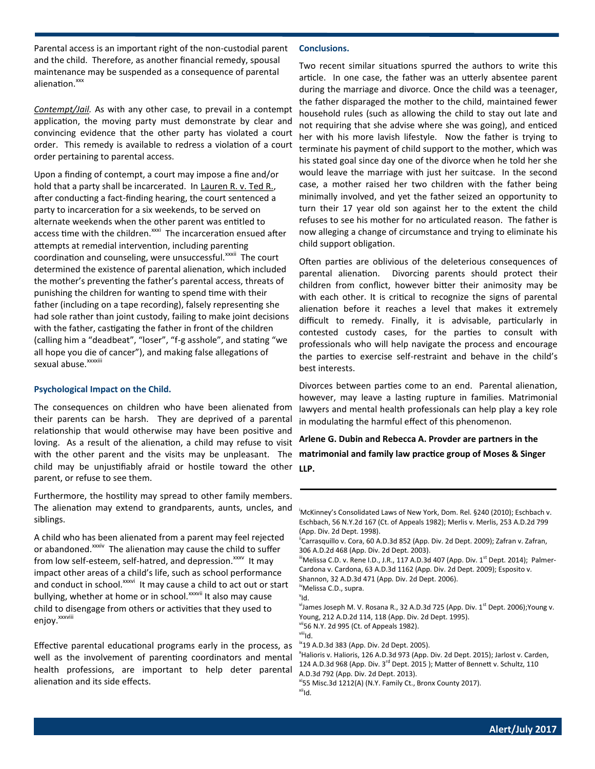Parental access is an important right of the non-custodial parent and the child. Therefore, as another financial remedy, spousal maintenance may be suspended as a consequence of parental alienation.<sup>xxx</sup>

*Contempt/Jail.* As with any other case, to prevail in a contempt application, the moving party must demonstrate by clear and convincing evidence that the other party has violated a court order. This remedy is available to redress a violation of a court order pertaining to parental access.

Upon a finding of contempt, a court may impose a fine and/or hold that a party shall be incarcerated. In Lauren R. v. Ted R., after conducting a fact-finding hearing, the court sentenced a party to incarceration for a six weekends, to be served on alternate weekends when the other parent was entitled to access time with the children.<sup>xxxi</sup> The incarceration ensued after attempts at remedial intervention, including parenting coordination and counseling, were unsuccessful.<sup>xxxii</sup> The court determined the existence of parental alienation, which included the mother's preventing the father's parental access, threats of punishing the children for wanting to spend time with their father (including on a tape recording), falsely representing she had sole rather than joint custody, failing to make joint decisions with the father, castigating the father in front of the children (calling him a "deadbeat", "loser", "f-g asshole", and stating "we all hope you die of cancer"), and making false allegations of sexual abuse.<sup>xxxxiii</sup>

#### **Psychological Impact on the Child.**

The consequences on children who have been alienated from their parents can be harsh. They are deprived of a parental relationship that would otherwise may have been positive and loving. As a result of the alienation, a child may refuse to visit with the other parent and the visits may be unpleasant. The child may be unjustifiably afraid or hostile toward the other parent, or refuse to see them.

Furthermore, the hostility may spread to other family members. The alienation may extend to grandparents, aunts, uncles, and siblings.

A child who has been alienated from a parent may feel rejected or abandoned.<sup>xxxiv</sup> The alienation may cause the child to suffer from low self-esteem, self-hatred, and depression.<sup>xxxv</sup> It may impact other areas of a child's life, such as school performance and conduct in school.<sup>xxxvi</sup> It may cause a child to act out or start bullying, whether at home or in school.<sup>xxxvii</sup> It also may cause child to disengage from others or activities that they used to enjoy.<sup>xxxviii</sup>

Effective parental educational programs early in the process, as well as the involvement of parenting coordinators and mental health professions, are important to help deter parental alienation and its side effects.

#### **Conclusions.**

Two recent similar situations spurred the authors to write this article. In one case, the father was an utterly absentee parent during the marriage and divorce. Once the child was a teenager, the father disparaged the mother to the child, maintained fewer household rules (such as allowing the child to stay out late and not requiring that she advise where she was going), and enticed her with his more lavish lifestyle. Now the father is trying to terminate his payment of child support to the mother, which was his stated goal since day one of the divorce when he told her she would leave the marriage with just her suitcase. In the second case, a mother raised her two children with the father being minimally involved, and yet the father seized an opportunity to turn their 17 year old son against her to the extent the child refuses to see his mother for no articulated reason. The father is now alleging a change of circumstance and trying to eliminate his child support obligation.

Often parties are oblivious of the deleterious consequences of parental alienation. Divorcing parents should protect their children from conflict, however bitter their animosity may be with each other. It is critical to recognize the signs of parental alienation before it reaches a level that makes it extremely difficult to remedy. Finally, it is advisable, particularly in contested custody cases, for the parties to consult with professionals who will help navigate the process and encourage the parties to exercise self-restraint and behave in the child's best interests.

Divorces between parties come to an end. Parental alienation, however, may leave a lasting rupture in families. Matrimonial lawyers and mental health professionals can help play a key role in modulating the harmful effect of this phenomenon.

**Arlene G. Dubin and Rebecca A. Provder are partners in the matrimonial and family law practice group of Moses & Singer LLP.**

<sup>i</sup>McKinney's Consolidated Laws of New York, Dom. Rel. §240 (2010); Eschbach v. Eschbach, 56 N.Y.2d 167 (Ct. of Appeals 1982); Merlis v. Merlis, 253 A.D.2d 799 (App. Div. 2d Dept. 1998).

<sup>ii</sup>Carrasquillo v. Cora, 60 A.D.3d 852 (App. Div. 2d Dept. 2009); Zafran v. Zafran, 306 A.D.2d 468 (App. Div. 2d Dept. 2003).

 $\mathrm{^{iii}}$ Melissa C.D. v. Rene I.D., J.R., 117 A.D.3d 407 (App. Div. 1 $\mathrm{^{st}}$  Dept. 2014); Palmer-Cardona v. Cardona, 63 A.D.3d 1162 (App. Div. 2d Dept. 2009); Esposito v.

Shannon, 32 A.D.3d 471 (App. Div. 2d Dept. 2006).

ivMelissa C.D., supra. v Id.

<sup>vi</sup>James Joseph M. V. Rosana R., 32 A.D.3d 725 (App. Div. 1<sup>st</sup> Dept. 2006);Young v. Young, 212 A.D.2d 114, 118 (App. Div. 2d Dept. 1995).

vii56 N.Y. 2d 995 (Ct. of Appeals 1982). <sup>viii</sup>ld.

<sup>ix</sup>19 A.D.3d 383 (App. Div. 2d Dept. 2005).

<sup>x</sup>Halioris v. Halioris, 126 A.D.3d 973 (App. Div. 2d Dept. 2015); Jarlost v. Carden, 124 A.D.3d 968 (App. Div. 3<sup>rd</sup> Dept. 2015); Matter of Bennett v. Schultz, 110 A.D.3d 792 (App. Div. 2d Dept. 2013).

<sup>xi</sup>55 Misc.3d 1212(A) (N.Y. Family Ct., Bronx County 2017).  $x^{iii}$ Id.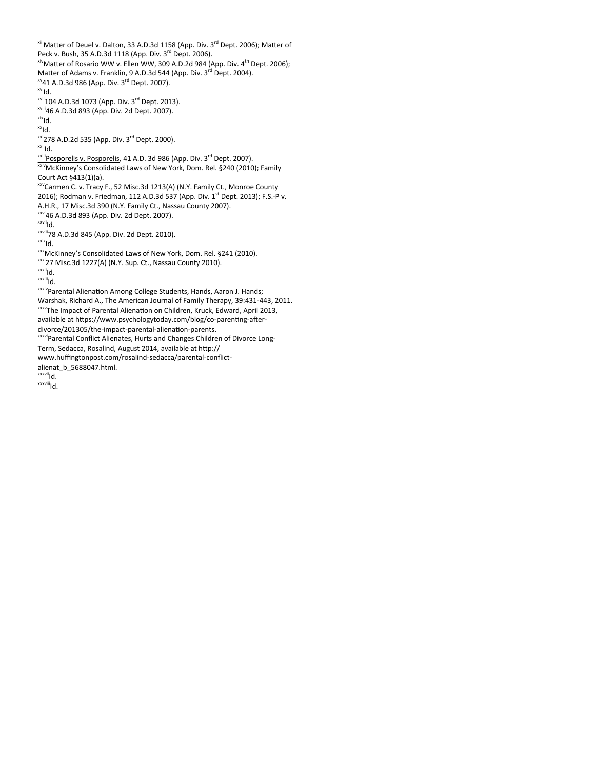<sup>xiii</sup>Matter of Deuel v. Dalton, 33 A.D.3d 1158 (App. Div. 3<sup>rd</sup> Dept. 2006); Matter of Peck v. Bush, 35 A.D.3d 1118 (App. Div. 3<sup>rd</sup> Dept. 2006).  $x^{x}$ Matter of Rosario WW v. Ellen WW, 309 A.D.2d 984 (App. Div. 4<sup>th</sup> Dept. 2006); Matter of Adams v. Franklin, 9 A.D.3d 544 (App. Div. 3<sup>rd</sup> Dept. 2004).  $x\text{V}41$  A.D.3d 986 (App. Div. 3<sup>rd</sup> Dept. 2007). <sup>xvi</sup>ld. xvii104 A.D.3d 1073 (App. Div. 3rd Dept. 2013). xviii46 A.D.3d 893 (App. Div. 2d Dept. 2007).  $x$ <sup>xix</sup>ld.  $x^x$ Id.  $xxi$ 278 A.D.2d 535 (App. Div. 3<sup>rd</sup> Dept. 2000). <sup>xxii</sup>ld. xxiii posporelis v. Posporelis, 41 A.D. 3d 986 (App. Div. 3<sup>rd</sup> Dept. 2007). xxivMcKinney's Consolidated Laws of New York, Dom. Rel. §240 (2010); Family Court Act §413(1)(a). xxvCarmen C. v. Tracy F., 52 Misc.3d 1213(A) (N.Y. Family Ct., Monroe County 2016); Rodman v. Friedman, 112 A.D.3d 537 (App. Div. 1<sup>st</sup> Dept. 2013); F.S.-P v. A.H.R., 17 Misc.3d 390 (N.Y. Family Ct., Nassau County 2007). xxvi46 A.D.3d 893 (App. Div. 2d Dept. 2007). xxvii<sub>ld</sub>. xxviii78 A.D.3d 845 (App. Div. 2d Dept. 2010).  $x$ <sup>xxix</sup>ld. xxxMcKinney's Consolidated Laws of New York, Dom. Rel. §241 (2010). xxxi27 Misc.3d 1227(A) (N.Y. Sup. Ct., Nassau County 2010). xxxii<sub>ld</sub>. <sup>xxxiii</sup>ld. xxxivParental Alienation Among College Students, Hands, Aaron J. Hands; Warshak, Richard A., The American Journal of Family Therapy, 39:431-443, 2011. xxxvThe Impact of Parental Alienation on Children, Kruck, Edward, April 2013, available at https://www.psychologytoday.com/blog/co-parenting-afterdivorce/201305/the-impact-parental-alienation-parents. xxxviParental Conflict Alienates, Hurts and Changes Children of Divorce Long-Term, Sedacca, Rosalind, August 2014, available at http:// www.huffingtonpost.com/rosalind-sedacca/parental-conflictalienat\_b\_5688047.html. xxxvii<sub>Id.</sub> <sup>xxxviii</sup>ld.